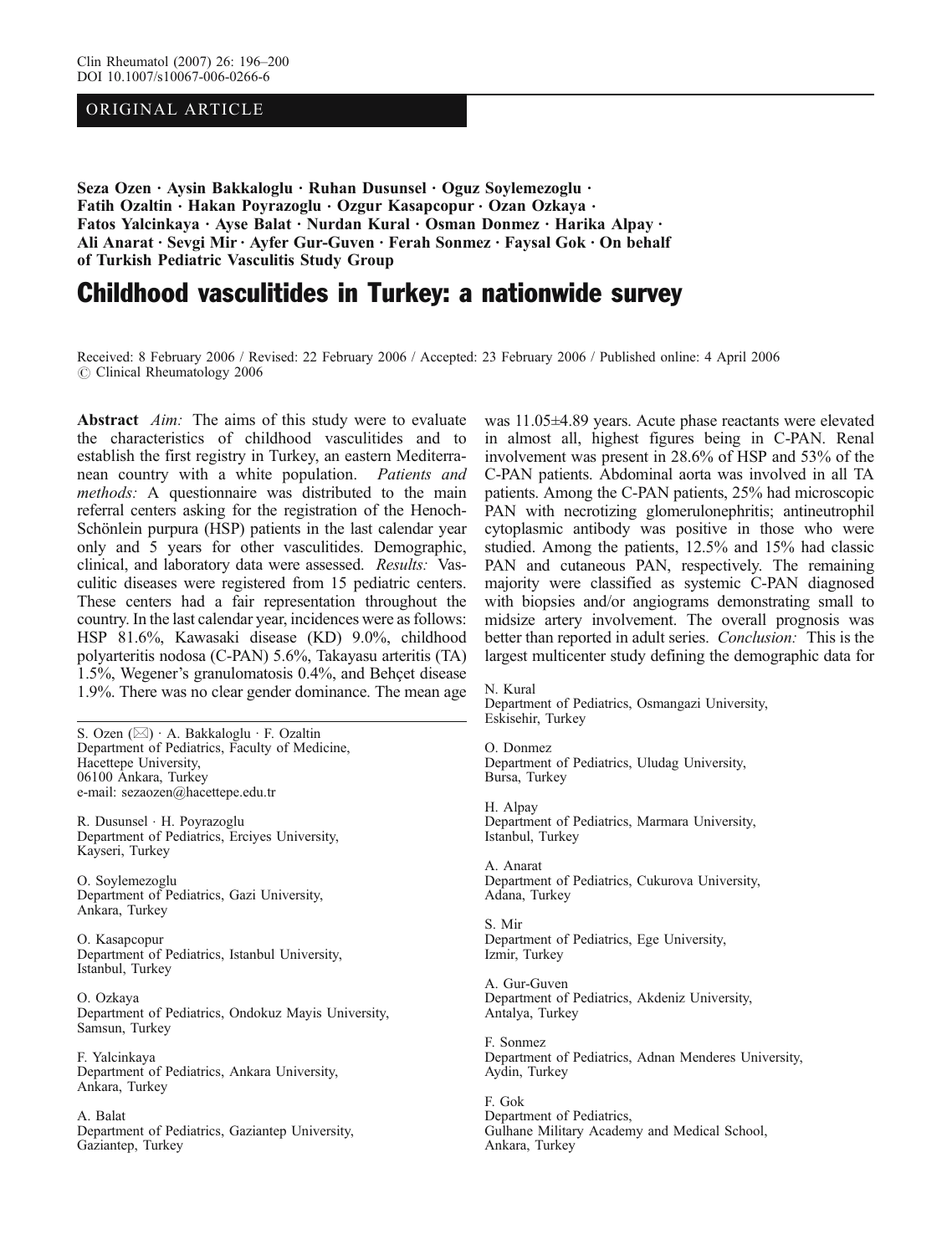## ORIGINAL ARTICLE

Seza Ozen · Aysin Bakkaloglu · Ruhan Dusunsel · Oguz Soylemezoglu · Fatih Ozaltin · Hakan Poyrazoglu · Ozgur Kasapcopur · Ozan Ozkaya · Fatos Yalcinkaya · Ayse Balat · Nurdan Kural · Osman Donmez · Harika Alpay · Ali Anarat . Sevgi Mir . Ayfer Gur-Guven . Ferah Sonmez . Faysal Gok . On behalf of Turkish Pediatric Vasculitis Study Group

# Childhood vasculitides in Turkey: a nationwide survey

Received: 8 February 2006 / Revised: 22 February 2006 / Accepted: 23 February 2006 / Published online: 4 April 2006  $\odot$  Clinical Rheumatology 2006

Abstract *Aim*: The aims of this study were to evaluate the characteristics of childhood vasculitides and to establish the first registry in Turkey, an eastern Mediterranean country with a white population. Patients and methods: A questionnaire was distributed to the main referral centers asking for the registration of the Henoch-Schönlein purpura (HSP) patients in the last calendar year only and 5 years for other vasculitides. Demographic, clinical, and laboratory data were assessed. Results: Vasculitic diseases were registered from 15 pediatric centers. These centers had a fair representation throughout the country. In the last calendar year, incidences were as follows: HSP 81.6%, Kawasaki disease (KD) 9.0%, childhood polyarteritis nodosa (C-PAN) 5.6%, Takayasu arteritis (TA) 1.5%, Wegener's granulomatosis 0.4%, and Behçet disease 1.9%. There was no clear gender dominance. The mean age

S. Ozen  $(\boxtimes) \cdot A$ . Bakkaloglu  $\cdot$  F. Ozaltin Department of Pediatrics, Faculty of Medicine, Hacettepe University, 06100 Ankara, Turkey e-mail: sezaozen@hacettepe.edu.tr

R. Dusunsel . H. Poyrazoglu Department of Pediatrics, Erciyes University, Kayseri, Turkey

O. Soylemezoglu Department of Pediatrics, Gazi University, Ankara, Turkey

O. Kasapcopur Department of Pediatrics, Istanbul University, Istanbul, Turkey

O. Ozkaya Department of Pediatrics, Ondokuz Mayis University, Samsun, Turkey

F. Yalcinkaya Department of Pediatrics, Ankara University, Ankara, Turkey

A. Balat Department of Pediatrics, Gaziantep University, Gaziantep, Turkey

was 11.05±4.89 years. Acute phase reactants were elevated in almost all, highest figures being in C-PAN. Renal involvement was present in 28.6% of HSP and 53% of the C-PAN patients. Abdominal aorta was involved in all TA patients. Among the C-PAN patients, 25% had microscopic PAN with necrotizing glomerulonephritis; antineutrophil cytoplasmic antibody was positive in those who were studied. Among the patients, 12.5% and 15% had classic PAN and cutaneous PAN, respectively. The remaining majority were classified as systemic C-PAN diagnosed with biopsies and/or angiograms demonstrating small to midsize artery involvement. The overall prognosis was better than reported in adult series. Conclusion: This is the largest multicenter study defining the demographic data for

N. Kural Department of Pediatrics, Osmangazi University, Eskisehir, Turkey

O. Donmez Department of Pediatrics, Uludag University, Bursa, Turkey

H. Alpay Department of Pediatrics, Marmara University, Istanbul, Turkey

A. Anarat Department of Pediatrics, Cukurova University, Adana, Turkey

S. Mir Department of Pediatrics, Ege University, Izmir, Turkey

A. Gur-Guven Department of Pediatrics, Akdeniz University, Antalya, Turkey

F. Sonmez Department of Pediatrics, Adnan Menderes University, Aydin, Turkey

F. Gok Department of Pediatrics, Gulhane Military Academy and Medical School, Ankara, Turkey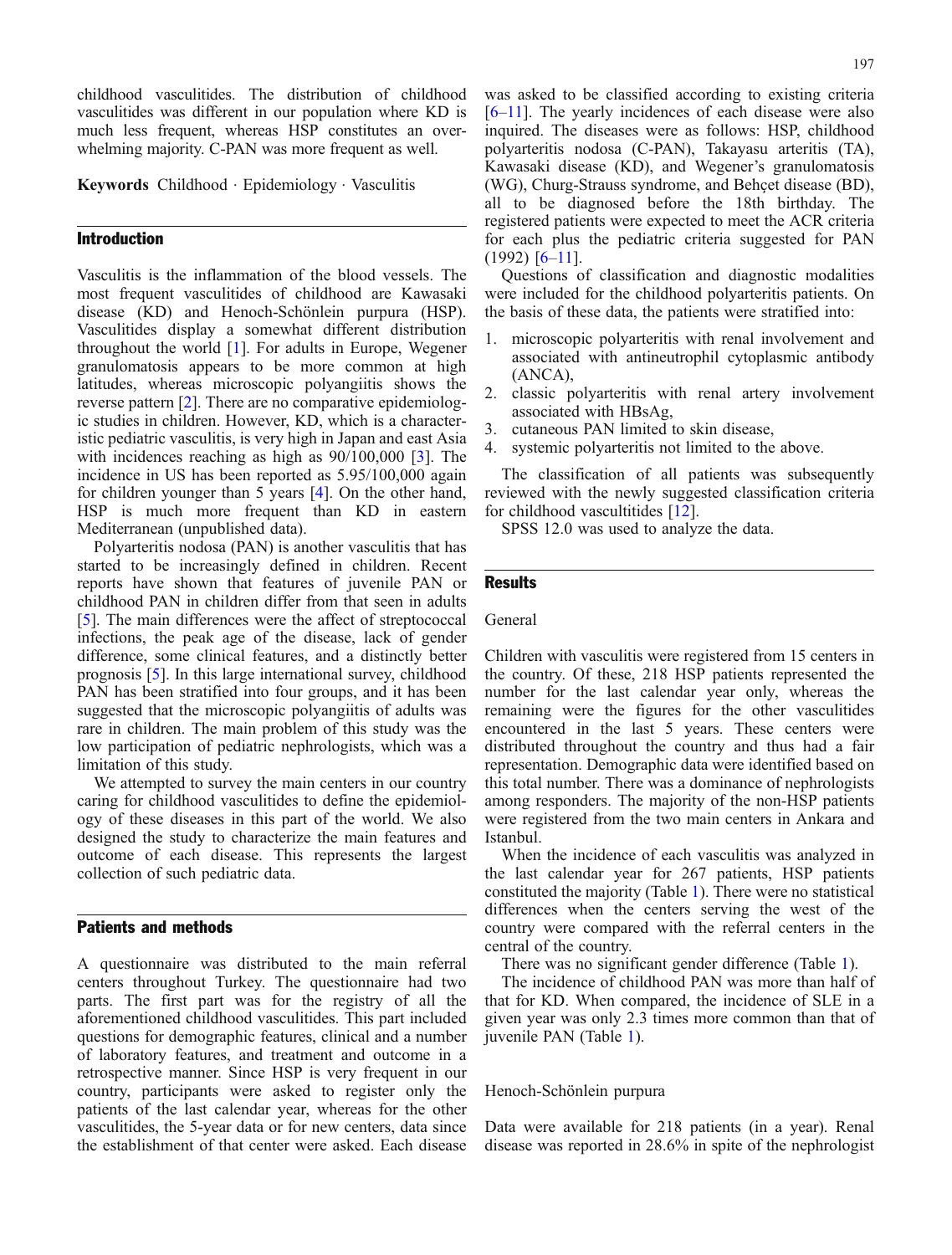childhood vasculitides. The distribution of childhood vasculitides was different in our population where KD is much less frequent, whereas HSP constitutes an overwhelming majority. C-PAN was more frequent as well.

Keywords Childhood . Epidemiology . Vasculitis

## Introduction

Vasculitis is the inflammation of the blood vessels. The most frequent vasculitides of childhood are Kawasaki disease (KD) and Henoch-Schönlein purpura (HSP). Vasculitides display a somewhat different distribution throughout the world [\[1\]](#page-4-0). For adults in Europe, Wegener granulomatosis appears to be more common at high latitudes, whereas microscopic polyangiitis shows the reverse pattern [[2](#page-4-0)]. There are no comparative epidemiologic studies in children. However, KD, which is a characteristic pediatric vasculitis, is very high in Japan and east Asia with incidences reaching as high as  $90/100,000$  [[3\]](#page-4-0). The incidence in US has been reported as 5.95/100,000 again for children younger than 5 years [\[4\]](#page-4-0). On the other hand, HSP is much more frequent than KD in eastern Mediterranean (unpublished data).

Polyarteritis nodosa (PAN) is another vasculitis that has started to be increasingly defined in children. Recent reports have shown that features of juvenile PAN or childhood PAN in children differ from that seen in adults [[5\]](#page-4-0). The main differences were the affect of streptococcal infections, the peak age of the disease, lack of gender difference, some clinical features, and a distinctly better prognosis [\[5](#page-4-0)]. In this large international survey, childhood PAN has been stratified into four groups, and it has been suggested that the microscopic polyangiitis of adults was rare in children. The main problem of this study was the low participation of pediatric nephrologists, which was a limitation of this study.

We attempted to survey the main centers in our country caring for childhood vasculitides to define the epidemiology of these diseases in this part of the world. We also designed the study to characterize the main features and outcome of each disease. This represents the largest collection of such pediatric data.

## Patients and methods

A questionnaire was distributed to the main referral centers throughout Turkey. The questionnaire had two parts. The first part was for the registry of all the aforementioned childhood vasculitides. This part included questions for demographic features, clinical and a number of laboratory features, and treatment and outcome in a retrospective manner. Since HSP is very frequent in our country, participants were asked to register only the patients of the last calendar year, whereas for the other vasculitides, the 5-year data or for new centers, data since the establishment of that center were asked. Each disease

Kawasaki disease (KD), and Wegener's granulomatosis (WG), Churg-Strauss syndrome, and Behçet disease (BD), all to be diagnosed before the 18th birthday. The registered patients were expected to meet the ACR criteria for each plus the pediatric criteria suggested for PAN  $(1992)$  [\[6](#page-4-0)–[11\]](#page-4-0).

Questions of classification and diagnostic modalities were included for the childhood polyarteritis patients. On the basis of these data, the patients were stratified into:

- 1. microscopic polyarteritis with renal involvement and associated with antineutrophil cytoplasmic antibody (ANCA),
- 2. classic polyarteritis with renal artery involvement associated with HBsAg,
- 3. cutaneous PAN limited to skin disease,
- 4. systemic polyarteritis not limited to the above.

The classification of all patients was subsequently reviewed with the newly suggested classification criteria for childhood vascultitides [\[12\]](#page-4-0).

SPSS 12.0 was used to analyze the data.

## **Results**

**General** 

Children with vasculitis were registered from 15 centers in the country. Of these, 218 HSP patients represented the number for the last calendar year only, whereas the remaining were the figures for the other vasculitides encountered in the last 5 years. These centers were distributed throughout the country and thus had a fair representation. Demographic data were identified based on this total number. There was a dominance of nephrologists among responders. The majority of the non-HSP patients were registered from the two main centers in Ankara and Istanbul.

When the incidence of each vasculitis was analyzed in the last calendar year for 267 patients, HSP patients constituted the majority (Table [1\)](#page-2-0). There were no statistical differences when the centers serving the west of the country were compared with the referral centers in the central of the country.

There was no significant gender difference (Table [1](#page-2-0)).

The incidence of childhood PAN was more than half of that for KD. When compared, the incidence of SLE in a given year was only 2.3 times more common than that of juvenile PAN (Table [1](#page-2-0)).

Henoch-Schönlein purpura

Data were available for 218 patients (in a year). Renal disease was reported in 28.6% in spite of the nephrologist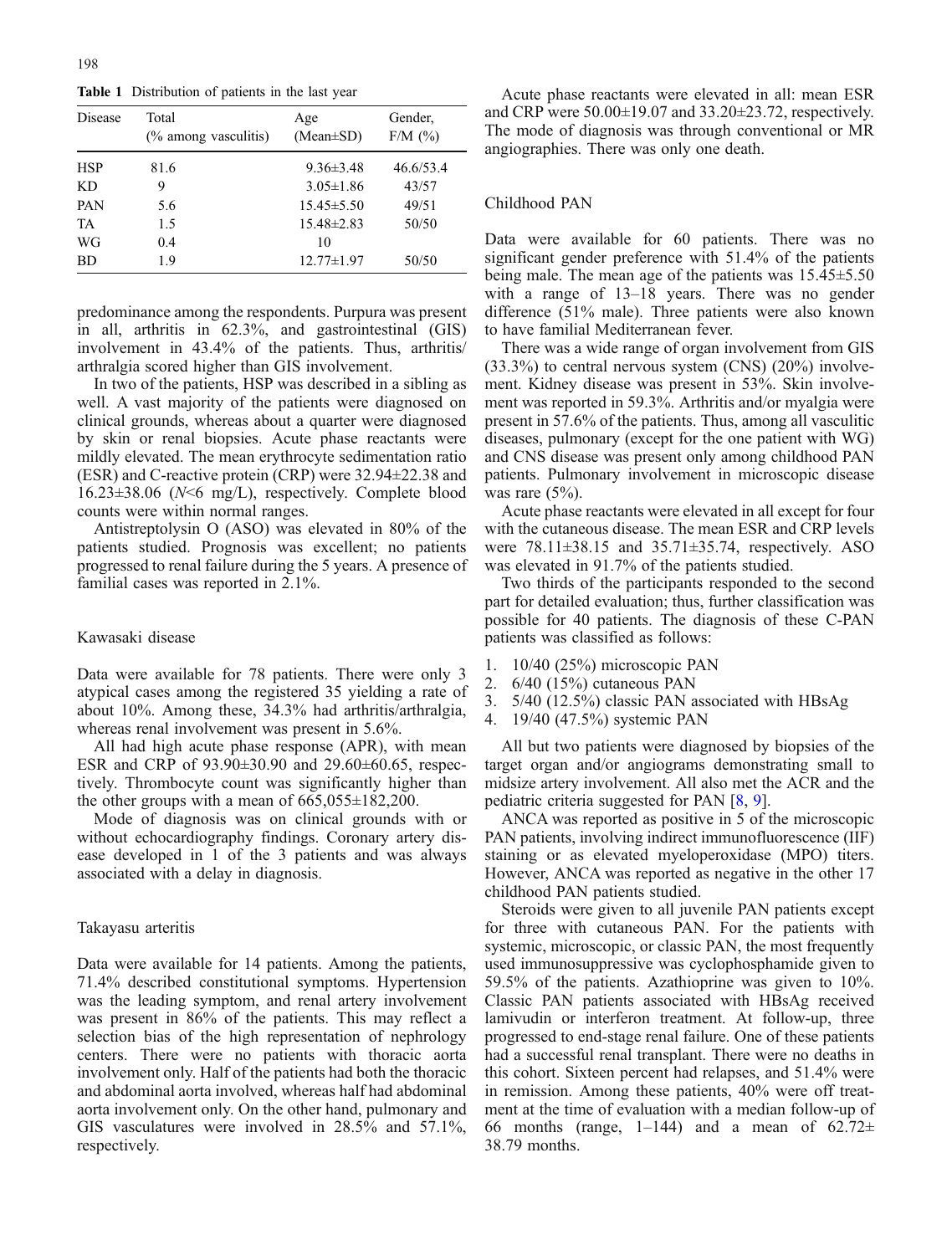<span id="page-2-0"></span>Table 1 Distribution of patients in the last year

| <b>Disease</b> | Total<br>$\frac{6}{6}$ among vasculitis) | Age<br>$(Mean \pm SD)$ | Gender,<br>$F/M$ (%) |
|----------------|------------------------------------------|------------------------|----------------------|
| <b>HSP</b>     | 81.6                                     | $9.36\pm3.48$          | 46.6/53.4            |
| KD.            | 9                                        | $3.05 \pm 1.86$        | 43/57                |
| <b>PAN</b>     | 5.6                                      | $15.45 \pm 5.50$       | 49/51                |
| TA             | 1.5                                      | $15.48\pm2.83$         | 50/50                |
| WG             | 0.4                                      | 10                     |                      |
| <b>BD</b>      | 1.9                                      | $12.77 \pm 1.97$       | 50/50                |

predominance among the respondents. Purpura was present in all, arthritis in 62.3%, and gastrointestinal (GIS) involvement in 43.4% of the patients. Thus, arthritis/ arthralgia scored higher than GIS involvement.

In two of the patients, HSP was described in a sibling as well. A vast majority of the patients were diagnosed on clinical grounds, whereas about a quarter were diagnosed by skin or renal biopsies. Acute phase reactants were mildly elevated. The mean erythrocyte sedimentation ratio (ESR) and C-reactive protein (CRP) were 32.94±22.38 and 16.23±38.06 (N<6 mg/L), respectively. Complete blood counts were within normal ranges.

Antistreptolysin O (ASO) was elevated in 80% of the patients studied. Prognosis was excellent; no patients progressed to renal failure during the 5 years. A presence of familial cases was reported in 2.1%.

#### Kawasaki disease

Data were available for 78 patients. There were only 3 atypical cases among the registered 35 yielding a rate of about 10%. Among these, 34.3% had arthritis/arthralgia, whereas renal involvement was present in 5.6%.

All had high acute phase response (APR), with mean ESR and CRP of 93.90±30.90 and 29.60±60.65, respectively. Thrombocyte count was significantly higher than the other groups with a mean of  $665,055\pm182,200$ .

Mode of diagnosis was on clinical grounds with or without echocardiography findings. Coronary artery disease developed in 1 of the 3 patients and was always associated with a delay in diagnosis.

#### Takayasu arteritis

Data were available for 14 patients. Among the patients, 71.4% described constitutional symptoms. Hypertension was the leading symptom, and renal artery involvement was present in 86% of the patients. This may reflect a selection bias of the high representation of nephrology centers. There were no patients with thoracic aorta involvement only. Half of the patients had both the thoracic and abdominal aorta involved, whereas half had abdominal aorta involvement only. On the other hand, pulmonary and GIS vasculatures were involved in 28.5% and 57.1%, respectively.

Acute phase reactants were elevated in all: mean ESR and CRP were 50.00±19.07 and 33.20±23.72, respectively. The mode of diagnosis was through conventional or MR angiographies. There was only one death.

#### Childhood PAN

Data were available for 60 patients. There was no significant gender preference with 51.4% of the patients being male. The mean age of the patients was 15.45±5.50 with a range of 13–18 years. There was no gender difference (51% male). Three patients were also known to have familial Mediterranean fever.

There was a wide range of organ involvement from GIS  $(33.3%)$  to central nervous system  $(CNS)$   $(20%)$  involvement. Kidney disease was present in 53%. Skin involvement was reported in 59.3%. Arthritis and/or myalgia were present in 57.6% of the patients. Thus, among all vasculitic diseases, pulmonary (except for the one patient with WG) and CNS disease was present only among childhood PAN patients. Pulmonary involvement in microscopic disease was rare  $(5\%)$ .

Acute phase reactants were elevated in all except for four with the cutaneous disease. The mean ESR and CRP levels were 78.11±38.15 and 35.71±35.74, respectively. ASO was elevated in 91.7% of the patients studied.

Two thirds of the participants responded to the second part for detailed evaluation; thus, further classification was possible for 40 patients. The diagnosis of these C-PAN patients was classified as follows:

- 1. 10/40 (25%) microscopic PAN
- 2. 6/40 (15%) cutaneous PAN
- 3. 5/40 (12.5%) classic PAN associated with HBsAg
- 4. 19/40 (47.5%) systemic PAN

All but two patients were diagnosed by biopsies of the target organ and/or angiograms demonstrating small to midsize artery involvement. All also met the ACR and the pediatric criteria suggested for PAN [\[8,](#page-4-0) [9\]](#page-4-0).

ANCA was reported as positive in 5 of the microscopic PAN patients, involving indirect immunofluorescence (IIF) staining or as elevated myeloperoxidase (MPO) titers. However, ANCA was reported as negative in the other 17 childhood PAN patients studied.

Steroids were given to all juvenile PAN patients except for three with cutaneous PAN. For the patients with systemic, microscopic, or classic PAN, the most frequently used immunosuppressive was cyclophosphamide given to 59.5% of the patients. Azathioprine was given to 10%. Classic PAN patients associated with HBsAg received lamivudin or interferon treatment. At follow-up, three progressed to end-stage renal failure. One of these patients had a successful renal transplant. There were no deaths in this cohort. Sixteen percent had relapses, and 51.4% were in remission. Among these patients, 40% were off treatment at the time of evaluation with a median follow-up of 66 months (range, 1–144) and a mean of  $62.72 \pm$ 38.79 months.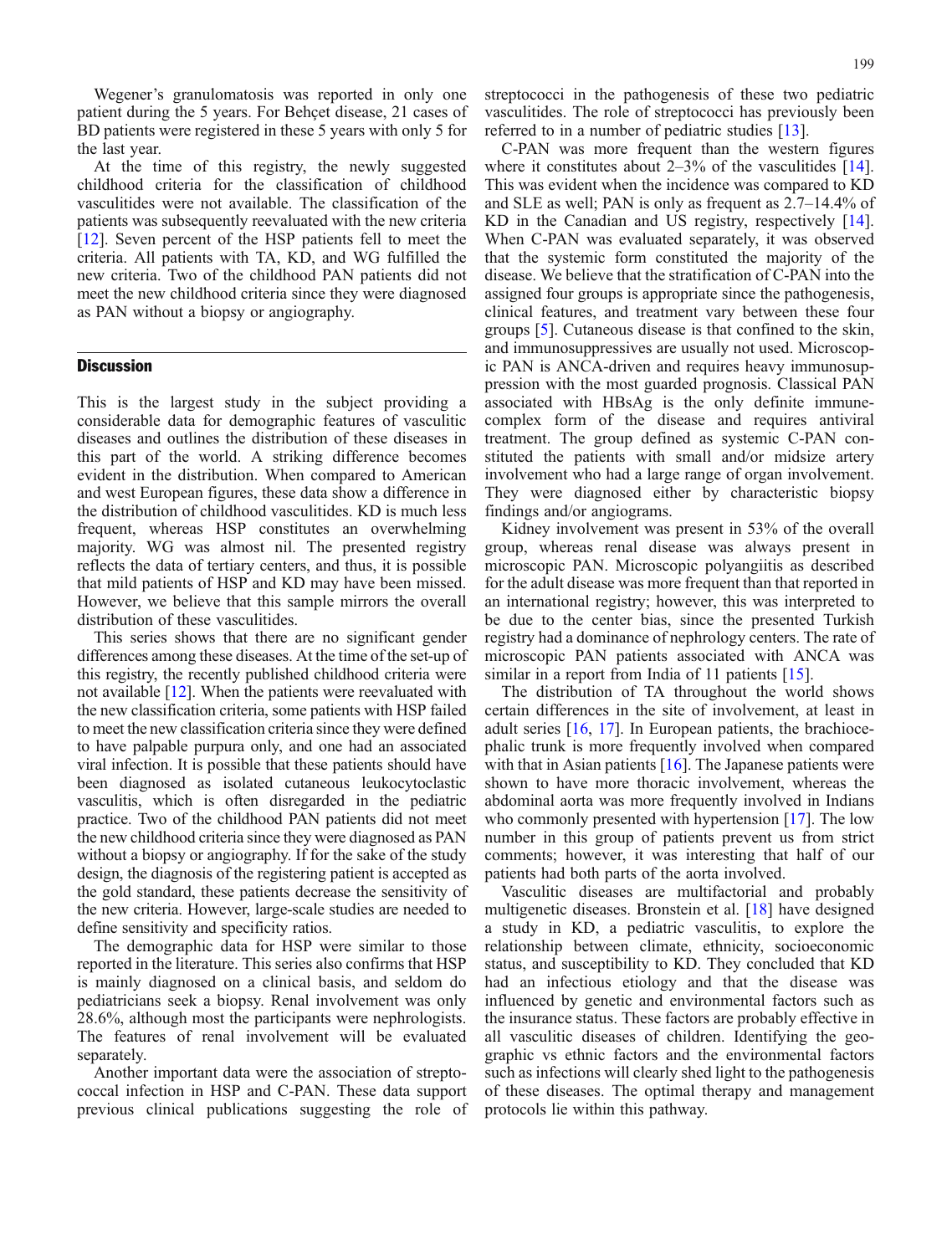Wegener's granulomatosis was reported in only one patient during the 5 years. For Behçet disease, 21 cases of BD patients were registered in these 5 years with only 5 for the last year.

At the time of this registry, the newly suggested childhood criteria for the classification of childhood vasculitides were not available. The classification of the patients was subsequently reevaluated with the new criteria [[12](#page-4-0)]. Seven percent of the HSP patients fell to meet the criteria. All patients with TA, KD, and WG fulfilled the new criteria. Two of the childhood PAN patients did not meet the new childhood criteria since they were diagnosed as PAN without a biopsy or angiography.

### **Discussion**

This is the largest study in the subject providing a considerable data for demographic features of vasculitic diseases and outlines the distribution of these diseases in this part of the world. A striking difference becomes evident in the distribution. When compared to American and west European figures, these data show a difference in the distribution of childhood vasculitides. KD is much less frequent, whereas HSP constitutes an overwhelming majority. WG was almost nil. The presented registry reflects the data of tertiary centers, and thus, it is possible that mild patients of HSP and KD may have been missed. However, we believe that this sample mirrors the overall distribution of these vasculitides.

This series shows that there are no significant gender differences among these diseases. At the time of the set-up of this registry, the recently published childhood criteria were not available [\[12\]](#page-4-0). When the patients were reevaluated with the new classification criteria, some patients with HSP failed to meet the new classification criteria since they were defined to have palpable purpura only, and one had an associated viral infection. It is possible that these patients should have been diagnosed as isolated cutaneous leukocytoclastic vasculitis, which is often disregarded in the pediatric practice. Two of the childhood PAN patients did not meet the new childhood criteria since they were diagnosed as PAN without a biopsy or angiography. If for the sake of the study design, the diagnosis of the registering patient is accepted as the gold standard, these patients decrease the sensitivity of the new criteria. However, large-scale studies are needed to define sensitivity and specificity ratios.

The demographic data for HSP were similar to those reported in the literature. This series also confirms that HSP is mainly diagnosed on a clinical basis, and seldom do pediatricians seek a biopsy. Renal involvement was only 28.6%, although most the participants were nephrologists. The features of renal involvement will be evaluated separately.

Another important data were the association of streptococcal infection in HSP and C-PAN. These data support previous clinical publications suggesting the role of

streptococci in the pathogenesis of these two pediatric vasculitides. The role of streptococci has previously been referred to in a number of pediatric studies [\[13\]](#page-4-0).

C-PAN was more frequent than the western figures where it constitutes about  $2-3\%$  of the vasculitides [[14](#page-4-0)]. This was evident when the incidence was compared to KD and SLE as well; PAN is only as frequent as 2.7–14.4% of KD in the Canadian and US registry, respectively [[14](#page-4-0)]. When C-PAN was evaluated separately, it was observed that the systemic form constituted the majority of the disease. We believe that the stratification of C-PAN into the assigned four groups is appropriate since the pathogenesis, clinical features, and treatment vary between these four groups [\[5](#page-4-0)]. Cutaneous disease is that confined to the skin, and immunosuppressives are usually not used. Microscopic PAN is ANCA-driven and requires heavy immunosuppression with the most guarded prognosis. Classical PAN associated with HBsAg is the only definite immunecomplex form of the disease and requires antiviral treatment. The group defined as systemic C-PAN constituted the patients with small and/or midsize artery involvement who had a large range of organ involvement. They were diagnosed either by characteristic biopsy findings and/or angiograms.

Kidney involvement was present in 53% of the overall group, whereas renal disease was always present in microscopic PAN. Microscopic polyangiitis as described for the adult disease was more frequent than that reported in an international registry; however, this was interpreted to be due to the center bias, since the presented Turkish registry had a dominance of nephrology centers. The rate of microscopic PAN patients associated with ANCA was similar in a report from India of 11 patients [[15](#page-4-0)].

The distribution of TA throughout the world shows certain differences in the site of involvement, at least in adult series [[16](#page-4-0), [17\]](#page-4-0). In European patients, the brachiocephalic trunk is more frequently involved when compared with that in Asian patients [\[16\]](#page-4-0). The Japanese patients were shown to have more thoracic involvement, whereas the abdominal aorta was more frequently involved in Indians who commonly presented with hypertension [[17](#page-4-0)]. The low number in this group of patients prevent us from strict comments; however, it was interesting that half of our patients had both parts of the aorta involved.

Vasculitic diseases are multifactorial and probably multigenetic diseases. Bronstein et al. [[18](#page-4-0)] have designed a study in KD, a pediatric vasculitis, to explore the relationship between climate, ethnicity, socioeconomic status, and susceptibility to KD. They concluded that KD had an infectious etiology and that the disease was influenced by genetic and environmental factors such as the insurance status. These factors are probably effective in all vasculitic diseases of children. Identifying the geographic vs ethnic factors and the environmental factors such as infections will clearly shed light to the pathogenesis of these diseases. The optimal therapy and management protocols lie within this pathway.